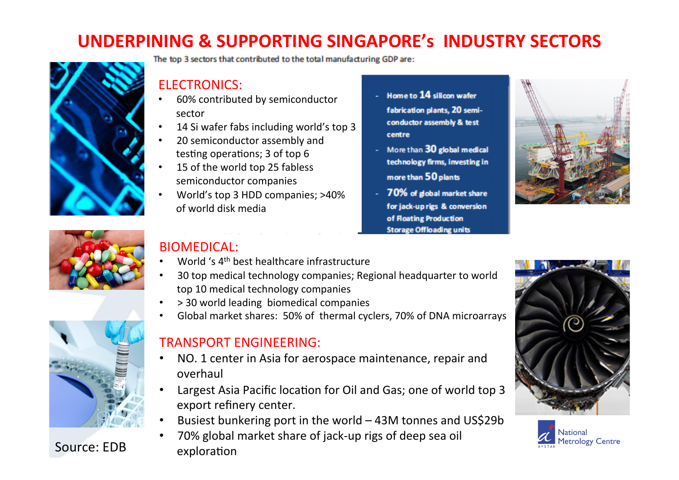## **UNDERPINING & SUPPORTING SINGAPORE'S INDUSTRY SECTORS**



The top 3 sectors that contributed to the total manufacturing GDP are:

### ELECTRONICS:

- 60% contributed by semiconductor sector
- 14 Si wafer fabs including world's top 3
- 20 semiconductor assembly and testing operations; 3 of top 6
- 15 of the world top 25 fabless semiconductor companies
- World's top 3 HDD companies; >40% of world disk media
- Home to 14 silicon wafer fabrication plants, 20 semiconductor assembly & test centre
- More than 30 global medical technology firms, investing in more than 50 plants
- 70% of global market share for jack-up rigs & conversion of Floating Production **Storage Offloading units**







Source: EDB exploration

### BIOMEDICAL:

- World 's 4<sup>th</sup> best healthcare infrastructure
- 30 top medical technology companies; Regional headquarter to world top 10 medical technology companies
- > 30 world leading biomedical companies
- Global market shares: 50% of thermal cyclers, 70% of DNA microarrays

#### TRANSPORT FNGINFFRING:

- NO. 1 center in Asia for aerospace maintenance, repair and overhaul
- Largest Asia Pacific location for Oil and Gas; one of world top 3 export refinery center.
- Busiest bunkering port in the world 43M tonnes and US\$29b
- 70% global market share of jack-up rigs of deep sea oil